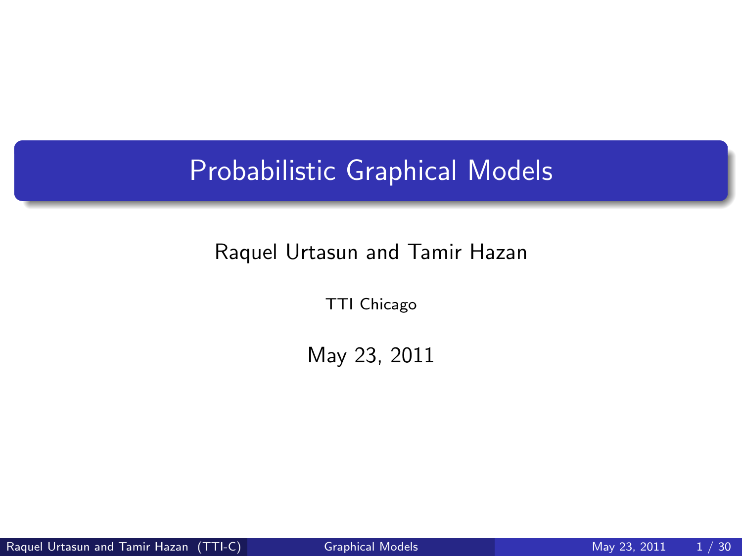# Probabilistic Graphical Models

#### Raquel Urtasun and Tamir Hazan

TTI Chicago

<span id="page-0-0"></span>May 23, 2011

Raquel Urtasun and Tamir Hazan (TTI-C) [Graphical Models](#page-29-0) Mose May 23, 2011 1/30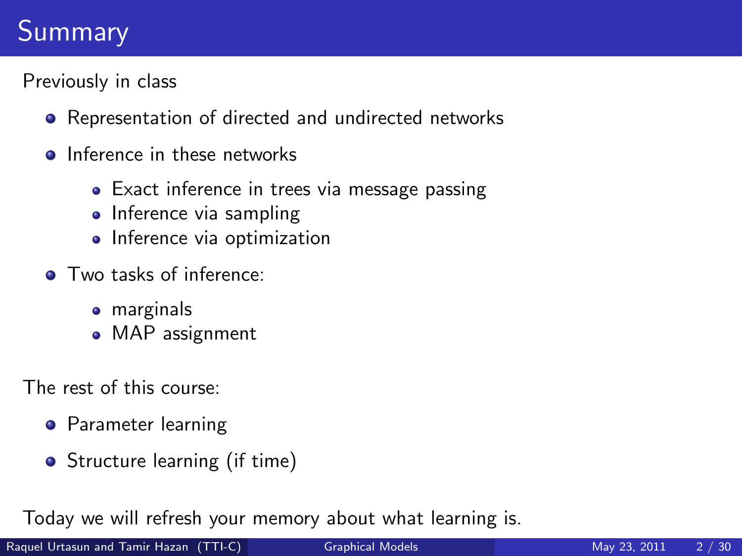# Summary

Previously in class

- Representation of directed and undirected networks
- **o** Inference in these networks
	- Exact inference in trees via message passing
	- Inference via sampling
	- **·** Inference via optimization
- **O** Two tasks of inference:
	- marginals
	- MAP assignment

The rest of this course:

- **•** Parameter learning
- Structure learning (if time)

Today we will refresh your memory about what learning is.

Raquel Urtasun and Tamir Hazan (TTI-C) [Graphical Models](#page-0-0) More May 23, 2011 2 / 30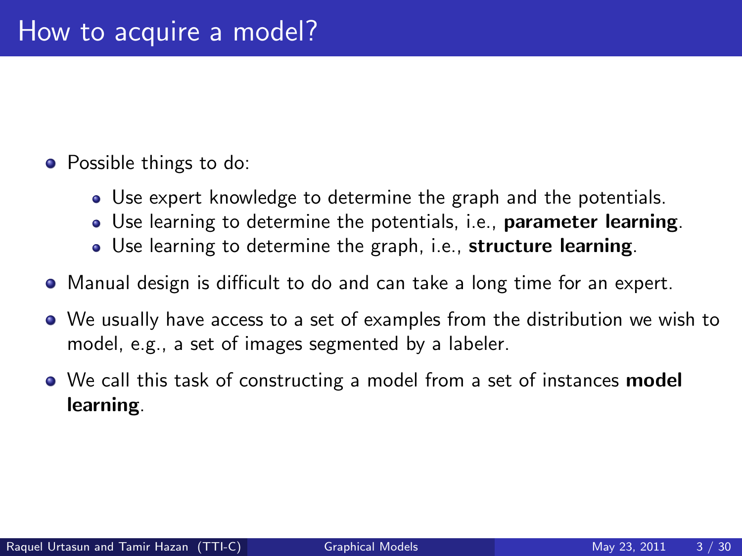- Possible things to do:
	- Use expert knowledge to determine the graph and the potentials.
	- Use learning to determine the potentials, i.e., **parameter learning**.
	- Use learning to determine the graph, i.e., structure learning.
- Manual design is difficult to do and can take a long time for an expert.
- We usually have access to a set of examples from the distribution we wish to model, e.g., a set of images segmented by a labeler.
- We call this task of constructing a model from a set of instances **model** learning.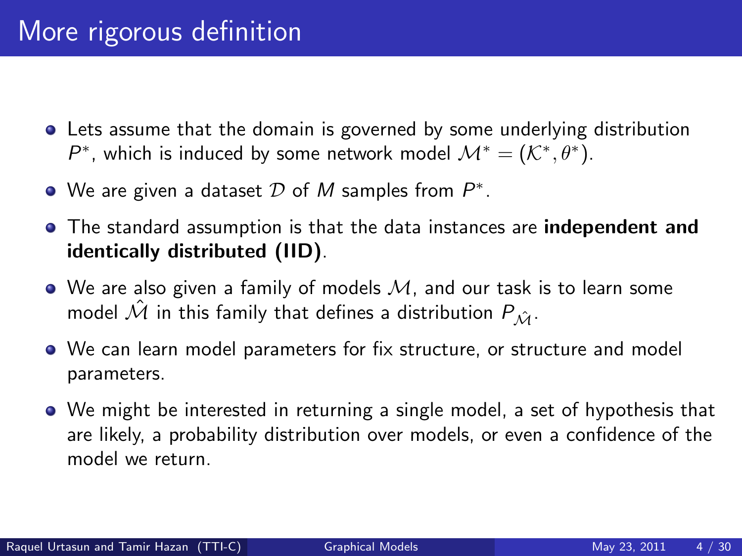- Lets assume that the domain is governed by some underlying distribution  $P^*$ , which is induced by some network model  $\mathcal{M}^* = (\mathcal{K}^*, \theta^*)$ .
- We are given a dataset  $\mathcal D$  of  $M$  samples from  $P^*.$
- The standard assumption is that the data instances are **independent and** identically distributed (IID).
- $\bullet$  We are also given a family of models  $M$ , and our task is to learn some model  $\hat{\mathcal{M}}$  in this family that defines a distribution  $P_{\hat{\mathcal{M}}}$ .
- We can learn model parameters for fix structure, or structure and model parameters.
- We might be interested in returning a single model, a set of hypothesis that are likely, a probability distribution over models, or even a confidence of the model we return.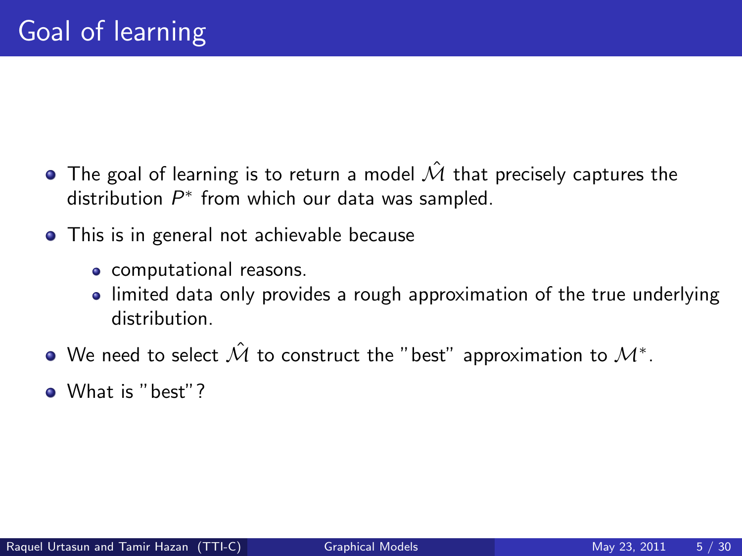- $\bullet$  The goal of learning is to return a model  $\hat{\mathcal{M}}$  that precisely captures the distribution  $P^*$  from which our data was sampled.
- This is in general not achievable because
	- computational reasons.
	- limited data only provides a rough approximation of the true underlying distribution.
- We need to select  $\hat{\mathcal{M}}$  to construct the "best" approximation to  $\mathcal{M}^*.$
- What is "best"?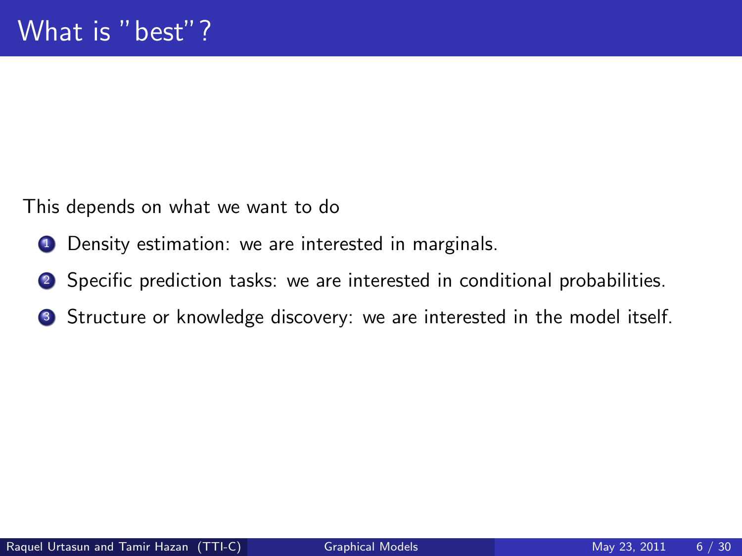This depends on what we want to do

- **1** Density estimation: we are interested in marginals.
- <sup>2</sup> Specific prediction tasks: we are interested in conditional probabilities.
- **3** Structure or knowledge discovery: we are interested in the model itself.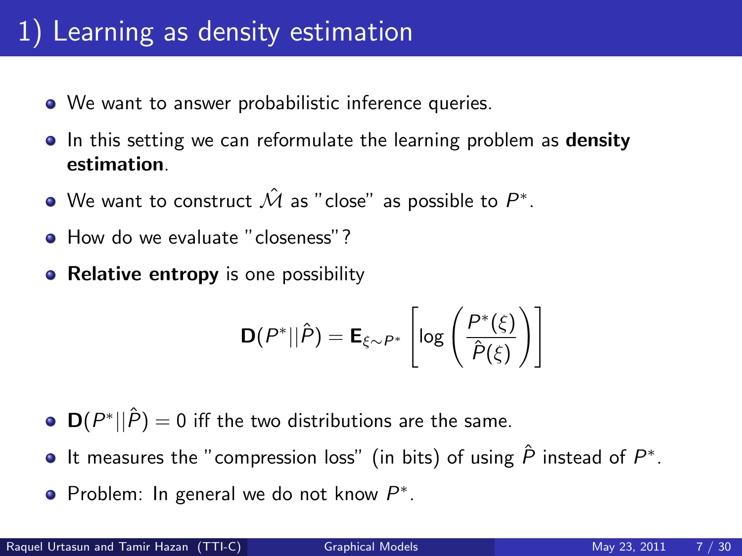# 1) Learning as density estimation

- We want to answer probabilistic inference queries.
- In this setting we can reformulate the learning problem as **density** estimation.
- We want to construct  $\hat{\mathcal{M}}$  as "close" as possible to  $P^*.$
- **How do we evaluate "closeness"?**
- Relative entropy is one possibility

$$
\mathbf{D}(P^*||\hat{P}) = \mathbf{E}_{\xi \sim P^*} \left[ \log \left( \frac{P^*(\xi)}{\hat{P}(\xi)} \right) \right]
$$

- $\mathbf{D}(P^*||\hat{P})=0$  iff the two distributions are the same.
- It measures the "compression loss" (in bits) of using  $\hat{P}$  instead of  $P^*$ .
- Problem: In general we do not know  $P^*$ .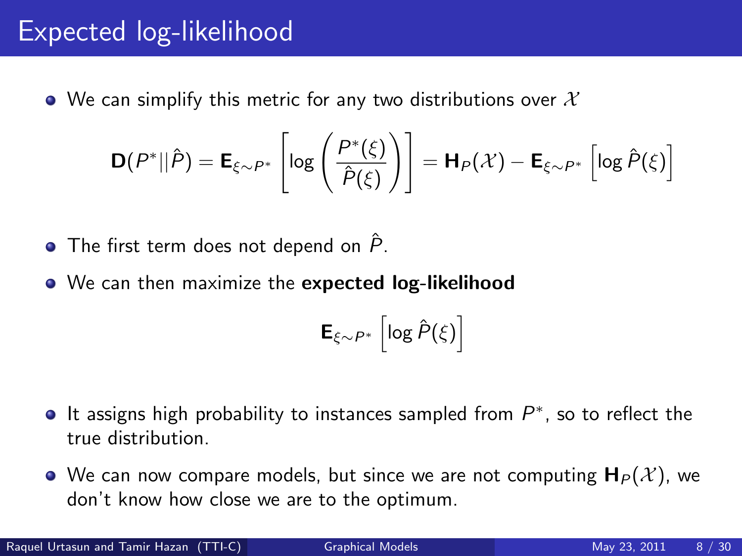#### Expected log-likelihood

• We can simplify this metric for any two distributions over  $\mathcal X$ 

$$
\mathbf{D}(P^*||\hat{P}) = \mathbf{E}_{\xi \sim P^*} \left[ \log \left( \frac{P^*(\xi)}{\hat{P}(\xi)} \right) \right] = \mathbf{H}_P(\mathcal{X}) - \mathbf{E}_{\xi \sim P^*} \left[ \log \hat{P}(\xi) \right]
$$

 $\bullet$  The first term does not depend on  $\ddot{P}$ .

We can then maximize the expected log-likelihood

$$
\mathsf{E}_{\xi \sim P^*} \left[ \log \hat{P}(\xi) \right]
$$

- It assigns high probability to instances sampled from  $P^*$ , so to reflect the true distribution.
- We can now compare models, but since we are not computing  $H_P(\mathcal{X})$ , we don't know how close we are to the optimum.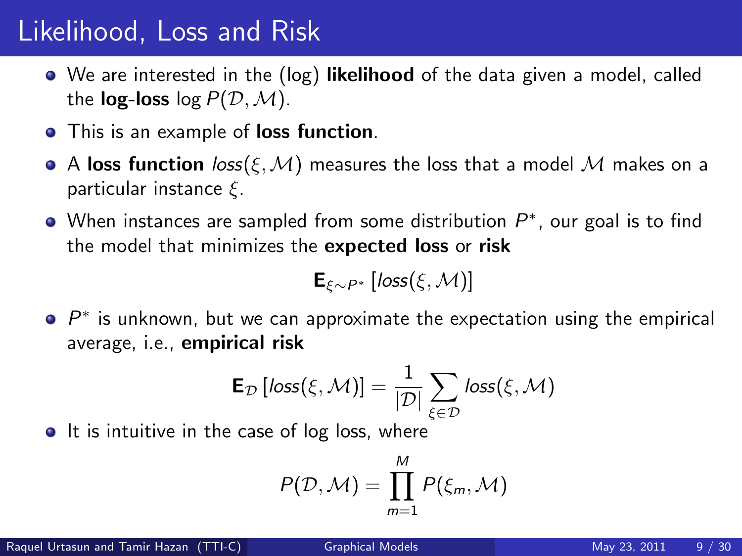#### Likelihood, Loss and Risk

- We are interested in the (log) likelihood of the data given a model, called the **log-loss**  $log P(D, M)$ .
- **•** This is an example of **loss function**.
- A loss function  $loss(\xi, \mathcal{M})$  measures the loss that a model M makes on a particular instance  $\xi$ .
- When instances are sampled from some distribution  $P^*$ , our goal is to find the model that minimizes the expected loss or risk

$$
\mathbf{E}_{\xi\sim P^*}\left[ \textit{loss}(\xi,\mathcal{M}) \right]
$$

 $P^*$  is unknown, but we can approximate the expectation using the empirical average, i.e., empirical risk

$$
\mathsf{E}_{\mathcal{D}}\left[ \mathit{loss}(\xi,\mathcal{M}) \right] = \frac{1}{|\mathcal{D}|}\sum_{\xi \in \mathcal{D}} \mathit{loss}(\xi,\mathcal{M})
$$

 $\bullet$  It is intuitive in the case of log loss, where

$$
P(\mathcal{D},\mathcal{M})=\prod_{m=1}^M P(\xi_m,\mathcal{M})
$$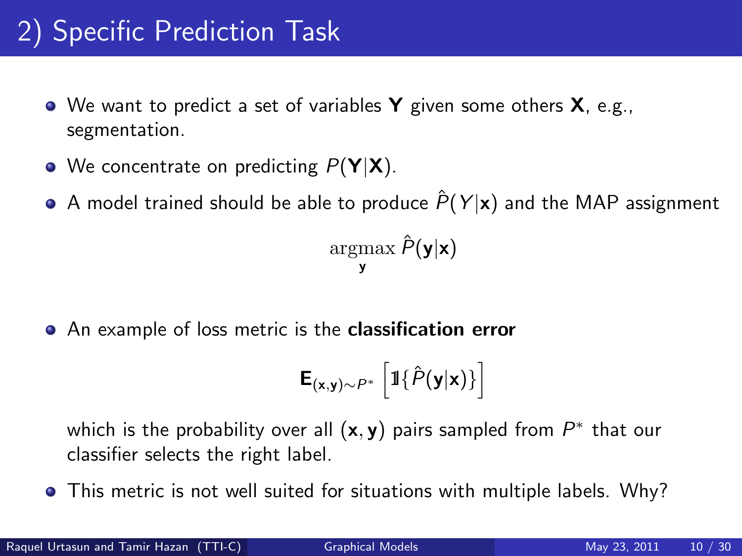# 2) Specific Prediction Task

- $\bullet$  We want to predict a set of variables **Y** given some others **X**, e.g., segmentation.
- We concentrate on predicting  $P(Y|X)$ .
- A model trained should be able to produce  $\hat{P}(Y|\mathbf{x})$  and the MAP assignment

 $\operatorname{argmax} \hat{P}(\mathbf{y}|\mathbf{x})$ y

**•** An example of loss metric is the **classification error** 

$$
\mathbf{E}_{(\mathbf{x}, \mathbf{y}) \sim P^*} \left[ \mathbb{1} \{ \hat{P}(\mathbf{y} | \mathbf{x}) \} \right]
$$

which is the probability over all  $(x, y)$  pairs sampled from  $P^*$  that our classifier selects the right label.

**•** This metric is not well suited for situations with multiple labels. Why?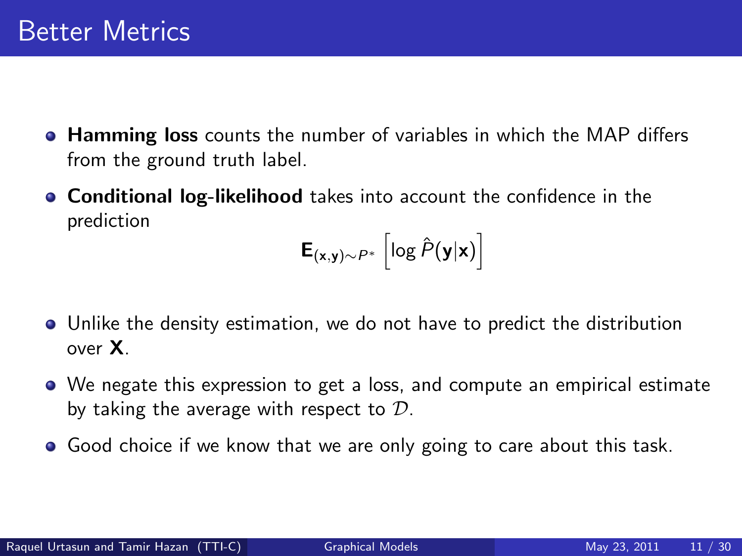- **Hamming loss** counts the number of variables in which the MAP differs from the ground truth label.
- **Conditional log-likelihood** takes into account the confidence in the prediction

$$
\mathbf{E}_{(\mathbf{x}, \mathbf{y}) \sim P^*} \left[ \log \hat{P}(\mathbf{y}|\mathbf{x}) \right]
$$

- Unlike the density estimation, we do not have to predict the distribution over X.
- We negate this expression to get a loss, and compute an empirical estimate by taking the average with respect to  $D$ .
- Good choice if we know that we are only going to care about this task.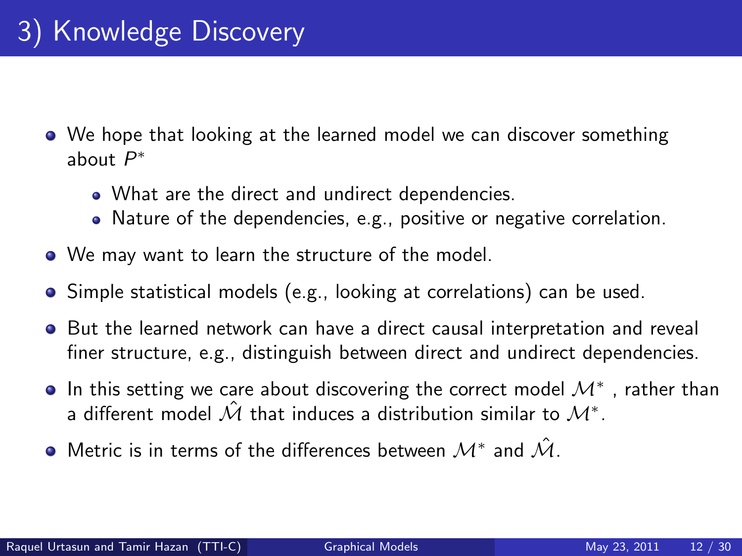- We hope that looking at the learned model we can discover something about  $P^*$ 
	- What are the direct and undirect dependencies.
	- Nature of the dependencies, e.g., positive or negative correlation.
- We may want to learn the structure of the model.
- Simple statistical models (e.g., looking at correlations) can be used.
- **•** But the learned network can have a direct causal interpretation and reveal finer structure, e.g., distinguish between direct and undirect dependencies.
- In this setting we care about discovering the correct model  $\mathcal{M}^*$  , rather than a different model  $\hat{\mathcal{M}}$  that induces a distribution similar to  $\mathcal{M}^*.$
- Metric is in terms of the differences between  $\mathcal{M}^*$  and  $\hat{\mathcal{M}}$ .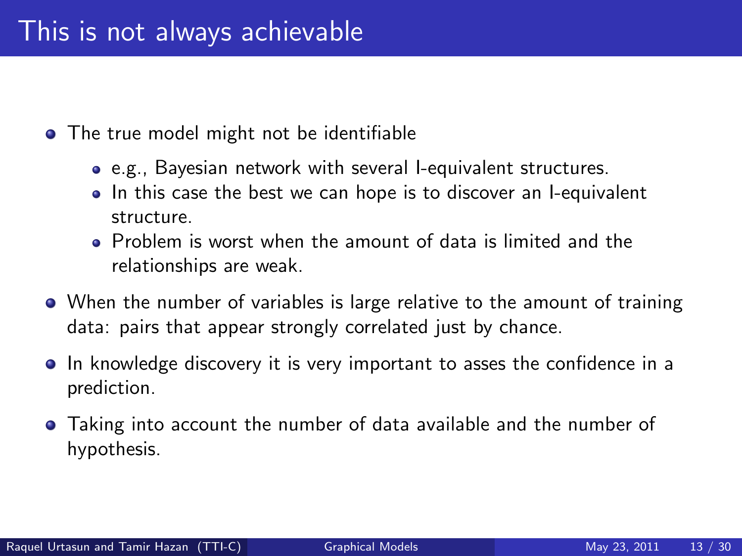- The true model might not be identifiable
	- e.g., Bayesian network with several I-equivalent structures.
	- In this case the best we can hope is to discover an I-equivalent structure.
	- Problem is worst when the amount of data is limited and the relationships are weak.
- When the number of variables is large relative to the amount of training data: pairs that appear strongly correlated just by chance.
- In knowledge discovery it is very important to asses the confidence in a prediction.
- Taking into account the number of data available and the number of hypothesis.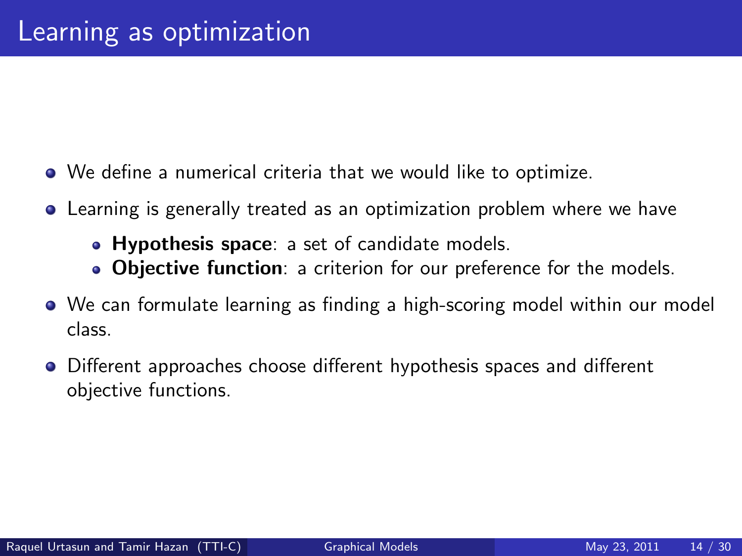- We define a numerical criteria that we would like to optimize.
- Learning is generally treated as an optimization problem where we have
	- Hypothesis space: a set of candidate models.
	- Objective function: a criterion for our preference for the models.
- We can formulate learning as finding a high-scoring model within our model class.
- Different approaches choose different hypothesis spaces and different objective functions.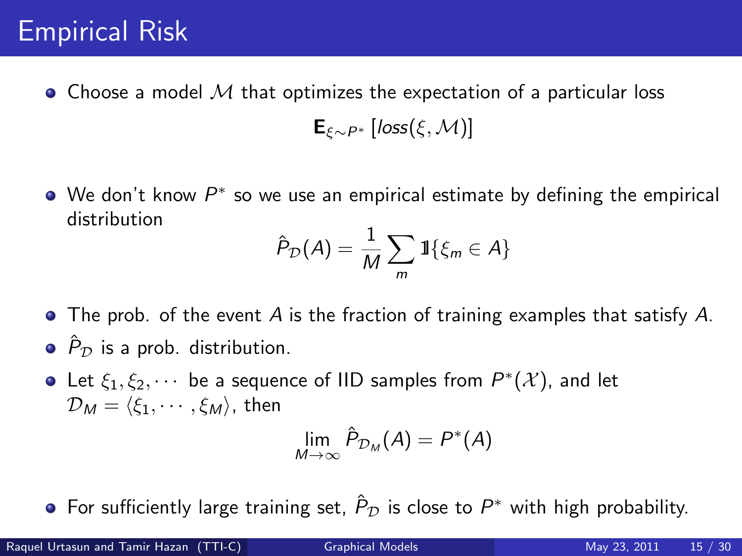#### Empirical Risk

 $\bullet$  Choose a model M that optimizes the expectation of a particular loss

 $\mathsf{E}_{\varepsilon_{\infty}P^*}$  [loss( $\varepsilon$ , M)]

We don't know  $P^*$  so we use an empirical estimate by defining the empirical distribution

$$
\hat{P}_{\mathcal{D}}(A) = \frac{1}{M} \sum_{m} 1 \{ \xi_m \in A \}
$$

- The prob. of the event A is the fraction of training examples that satisfy A.  $\bullet$   $\hat{P}_{\mathcal{D}}$  is a prob. distribution.
- Let  $\xi_1, \xi_2, \cdots$  be a sequence of IID samples from  $P^*(\mathcal{X})$ , and let  $\mathcal{D}_M = \langle \xi_1, \cdots, \xi_M \rangle$ , then

$$
\lim_{M\to\infty}\hat{P}_{\mathcal{D}_M}(A)=P^*(A)
$$

For sufficiently large training set,  $\hat{P}_{\mathcal{D}}$  is close to  $P^*$  with high probability.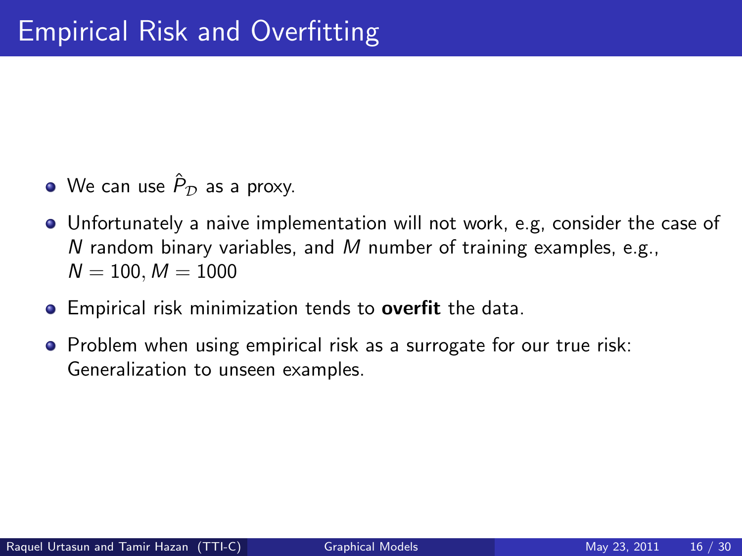- We can use  $\hat{P}_{\mathcal{D}}$  as a proxy.
- Unfortunately a naive implementation will not work, e.g, consider the case of N random binary variables, and M number of training examples, e.g.,  $N = 100, M = 1000$
- **•** Empirical risk minimization tends to **overfit** the data.
- **•** Problem when using empirical risk as a surrogate for our true risk: Generalization to unseen examples.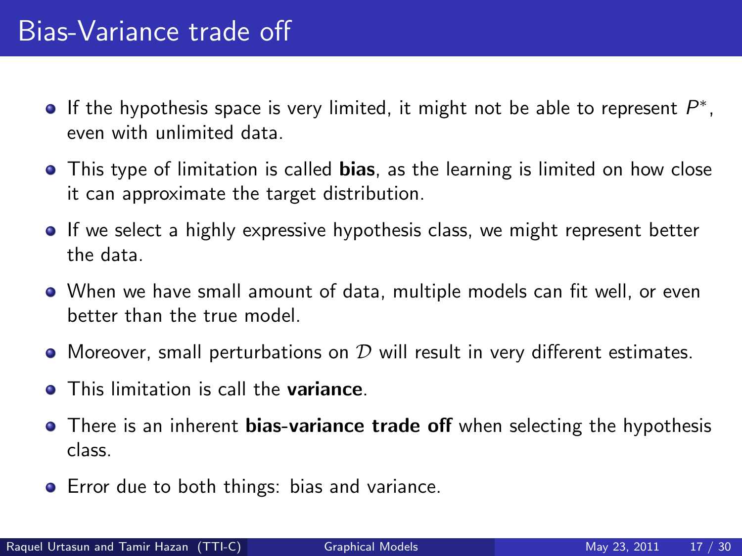- If the hypothesis space is very limited, it might not be able to represent  $P^*$ , even with unlimited data.
- This type of limitation is called bias, as the learning is limited on how close it can approximate the target distribution.
- **If we select a highly expressive hypothesis class, we might represent better** the data.
- When we have small amount of data, multiple models can fit well, or even better than the true model.
- Moreover, small perturbations on  $D$  will result in very different estimates.
- **This limitation is call the variance.**
- There is an inherent **bias-variance trade off** when selecting the hypothesis class.
- **•** Error due to both things: bias and variance.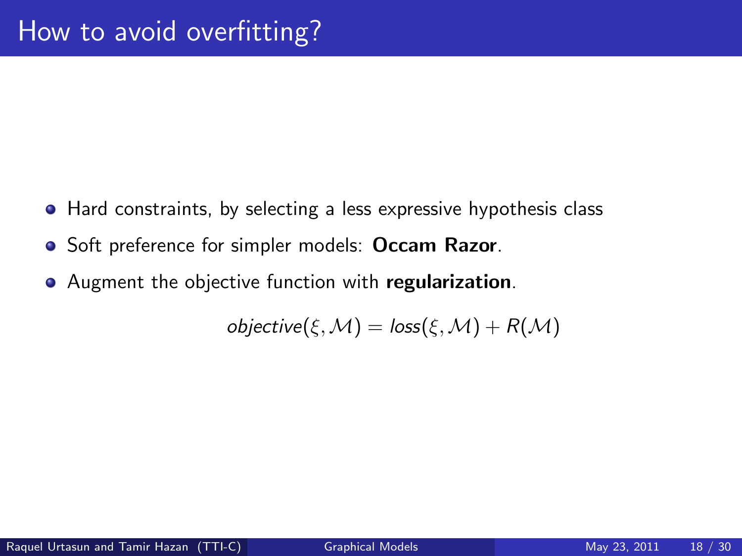- Hard constraints, by selecting a less expressive hypothesis class
- Soft preference for simpler models: Occam Razor.
- Augment the objective function with regularization.

 $objective(\xi, \mathcal{M}) = loss(\xi, \mathcal{M}) + R(\mathcal{M})$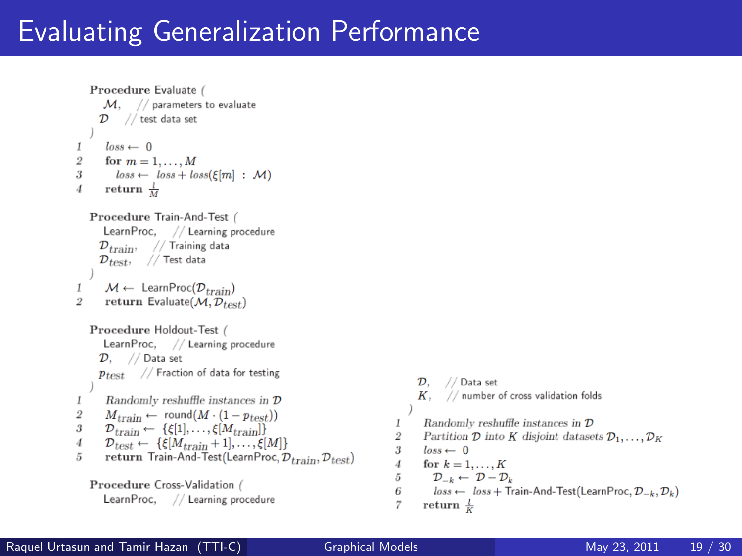# Evaluating Generalization Performance

```
Procedure Evaluate /
       M. // parameters to evaluate
      \mathcal{D}// test data set
        loss \leftarrow 0\overline{2}for m = 1, \ldots, Mloss \leftarrow loss + loss(\xi[m] : \mathcal{M})\overline{3}return \frac{l}{M}Procedure Train-And-Test (
       LearnProc, // Learning procedure
      \mathcal{D}_{train}, // Training data
      \mathcal{D}_{test}, // Test data
\mathbf{1}M \leftarrow \text{LearnProc}(\mathcal{D}_{train})return Evaluate(\mathcal{M}, \mathcal{D}_{toet})\overline{2}Procedure Holdout-Test (
       LearnProc. // Learning procedure
      \mathcal{D}. // Data set
      p_{test} // Fraction of data for testing
\mathbf{1}Randomly reshuffle instances in \mathcal D\overline{2}M_{train} \leftarrow \text{round}(M \cdot (1 - p_{test}))\mathcal{D}_{train} \leftarrow \{\xi[1], \ldots, \xi[M_{train}]\}3
        \mathcal{D}_{test} \leftarrow \{\xi[M_{train}+1], \ldots, \xi[M]\}\overline{4}5
        return Train-And-Test(LearnProc, \mathcal{D}_{train}, \mathcal{D}_{test})
    Procedure Cross-Validation (
       LearnProc, // Learning procedure
```
 $\mathcal{D}$ . // Data set  $K.$  // number of cross validation folds  $Randomly$  reshuffle instances in  $\mathcal D$  $\mathbf{I}$  $\overline{2}$ Partition  $\mathcal D$  into K disjoint datasets  $\mathcal D_1,\ldots,\mathcal D_K$  $\overline{3}$  $loss \leftarrow 0$  $\overline{A}$ for  $k = 1, \ldots, K$  $\tilde{D}$  $\mathcal{D}_{-k} \leftarrow \mathcal{D} - \mathcal{D}_k$  $\overline{6}$  $loss \leftarrow loss + Train-And-Test(LearnProc, D_{-k}, D_k)$  $\overline{7}$ return  $\frac{l}{k}$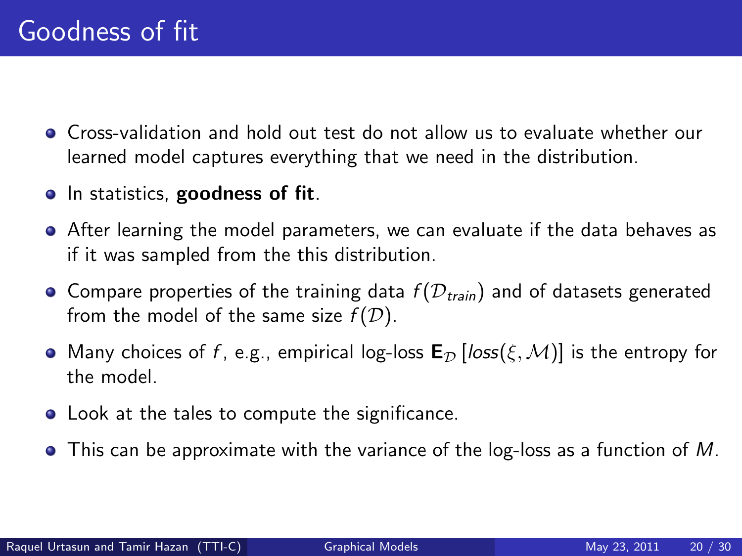- Cross-validation and hold out test do not allow us to evaluate whether our learned model captures everything that we need in the distribution.
- In statistics, goodness of fit.
- After learning the model parameters, we can evaluate if the data behaves as if it was sampled from the this distribution.
- Compare properties of the training data  $f(D_{train})$  and of datasets generated from the model of the same size  $f(\mathcal{D})$ .
- Many choices of f, e.g., empirical log-loss  $\mathbf{E}_{\mathcal{D}}[\text{loss}(\xi, \mathcal{M})]$  is the entropy for the model.
- **•** Look at the tales to compute the significance.
- $\bullet$  This can be approximate with the variance of the log-loss as a function of M.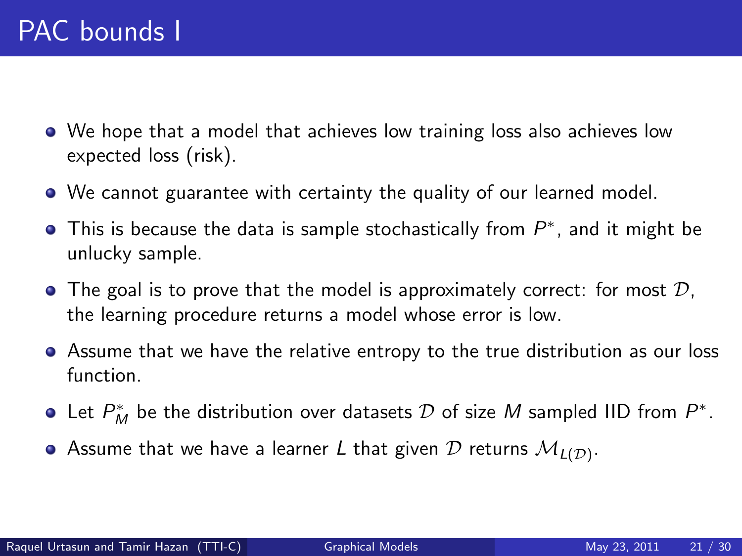- We hope that a model that achieves low training loss also achieves low expected loss (risk).
- We cannot guarantee with certainty the quality of our learned model.
- This is because the data is sample stochastically from  $P^*$ , and it might be unlucky sample.
- $\bullet$  The goal is to prove that the model is approximately correct: for most  $\mathcal{D}$ , the learning procedure returns a model whose error is low.
- Assume that we have the relative entropy to the true distribution as our loss function.
- Let  $P_M^*$  be the distribution over datasets  $\mathcal D$  of size  $M$  sampled IID from  $P^*.$
- Assume that we have a learner  $L$  that given  ${\cal D}$  returns  ${\cal M}_{L({\cal D})}.$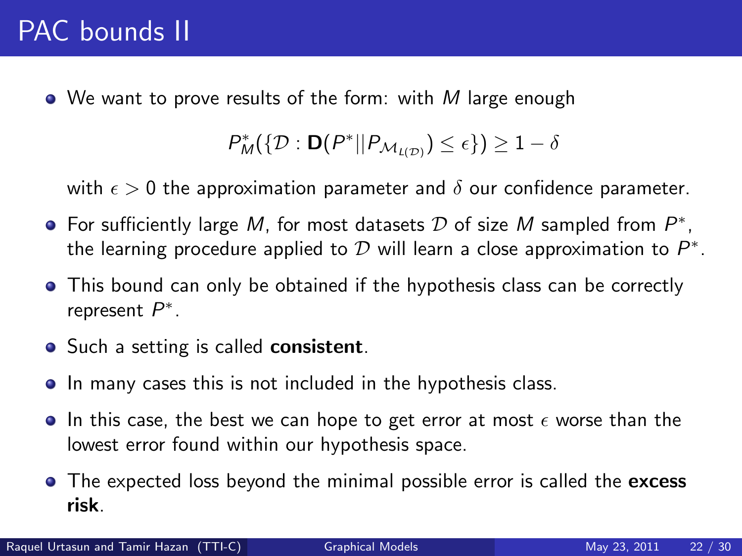$\bullet$  We want to prove results of the form: with M large enough

$$
P_M^*(\{\mathcal{D}: \mathbf{D}(P^*||P_{\mathcal{M}_{L(\mathcal{D})}})\leq \epsilon\})\geq 1-\delta
$$

with  $\epsilon > 0$  the approximation parameter and  $\delta$  our confidence parameter.

- For sufficiently large M, for most datasets  $D$  of size M sampled from  $P^*$ , the learning procedure applied to  ${\cal D}$  will learn a close approximation to  $P^*.$
- This bound can only be obtained if the hypothesis class can be correctly represent  $P^*$ .
- Such a setting is called **consistent**.
- In many cases this is not included in the hypothesis class.
- $\bullet$  In this case, the best we can hope to get error at most  $\epsilon$  worse than the lowest error found within our hypothesis space.
- The expected loss beyond the minimal possible error is called the excess risk.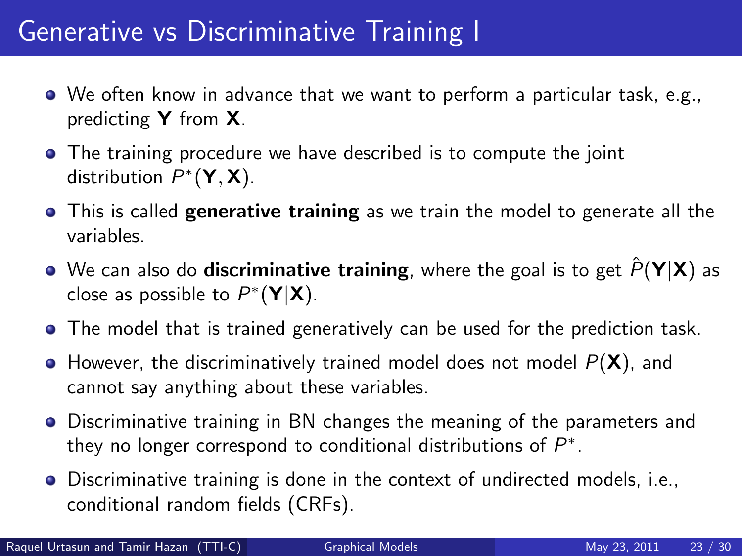### Generative vs Discriminative Training I

- We often know in advance that we want to perform a particular task, e.g., predicting Y from X.
- The training procedure we have described is to compute the joint distribution  $P^*(Y, X)$ .
- **This is called generative training** as we train the model to generate all the variables.
- $\bullet$  We can also do **discriminative training**, where the goal is to get  $\hat{P}(Y|X)$  as close as possible to  $P^*(Y|X)$ .
- The model that is trained generatively can be used for the prediction task.
- $\bullet$  However, the discriminatively trained model does not model  $P(X)$ , and cannot say anything about these variables.
- Discriminative training in BN changes the meaning of the parameters and they no longer correspond to conditional distributions of  $P^*$ .
- Discriminative training is done in the context of undirected models, i.e., conditional random fields (CRFs).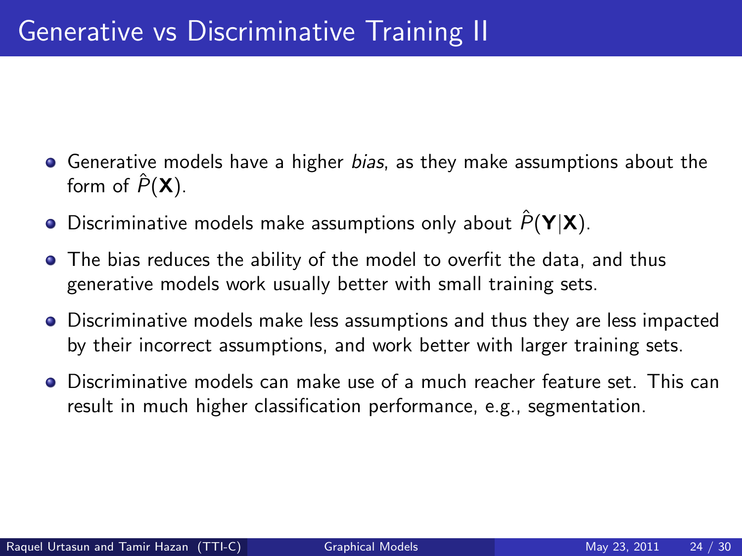- **•** Generative models have a higher *bias*, as they make assumptions about the form of  $\hat{P}(\mathbf{X})$ .
- $\bullet$  Discriminative models make assumptions only about  $\hat{P}(\mathbf{Y}|\mathbf{X})$ .
- The bias reduces the ability of the model to overfit the data, and thus generative models work usually better with small training sets.
- Discriminative models make less assumptions and thus they are less impacted by their incorrect assumptions, and work better with larger training sets.
- Discriminative models can make use of a much reacher feature set. This can result in much higher classification performance, e.g., segmentation.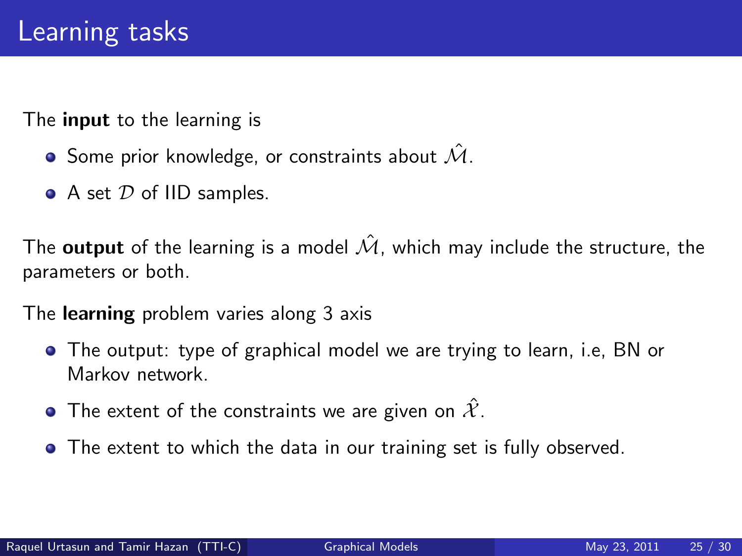The **input** to the learning is

- $\bullet$  Some prior knowledge, or constraints about  $\mathcal{\hat{M}}$ .
- $\bullet$  A set  $\mathcal D$  of IID samples.

The output of the learning is a model  $\hat{\mathcal{M}}$ , which may include the structure, the parameters or both.

The learning problem varies along 3 axis

- The output: type of graphical model we are trying to learn, i.e, BN or Markov network.
- The extent of the constraints we are given on  $\hat{\mathcal{X}}$ .
- The extent to which the data in our training set is fully observed.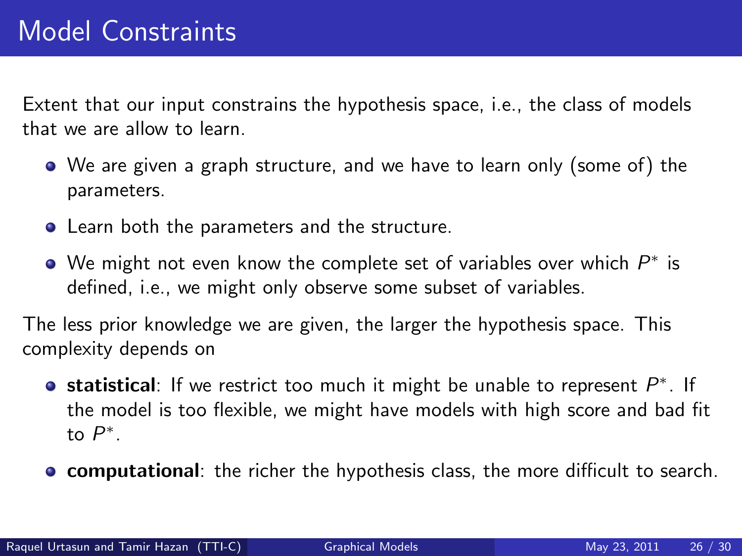Extent that our input constrains the hypothesis space, i.e., the class of models that we are allow to learn.

- We are given a graph structure, and we have to learn only (some of) the parameters.
- Learn both the parameters and the structure.
- We might not even know the complete set of variables over which  $P^\ast$  is defined, i.e., we might only observe some subset of variables.

The less prior knowledge we are given, the larger the hypothesis space. This complexity depends on

- statistical: If we restrict too much it might be unable to represent  $P^*$ . If the model is too flexible, we might have models with high score and bad fit to  $P^*$ .
- **computational**: the richer the hypothesis class, the more difficult to search.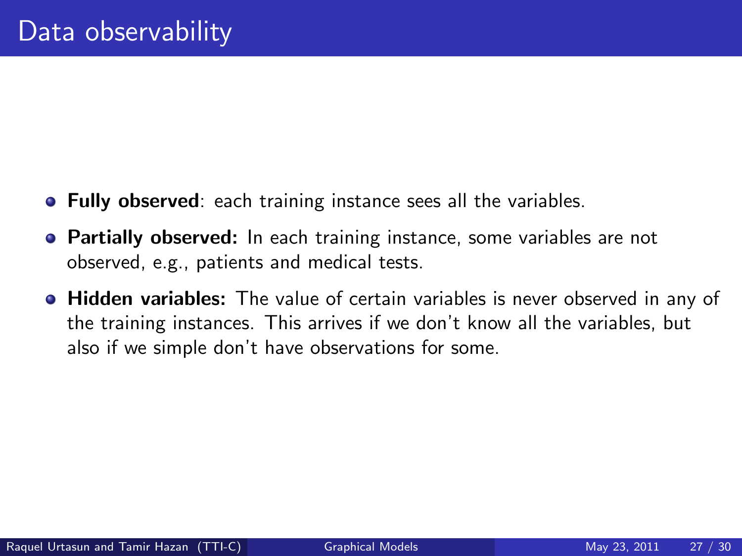- **Fully observed**: each training instance sees all the variables.
- **Partially observed:** In each training instance, some variables are not observed, e.g., patients and medical tests.
- **Hidden variables:** The value of certain variables is never observed in any of the training instances. This arrives if we don't know all the variables, but also if we simple don't have observations for some.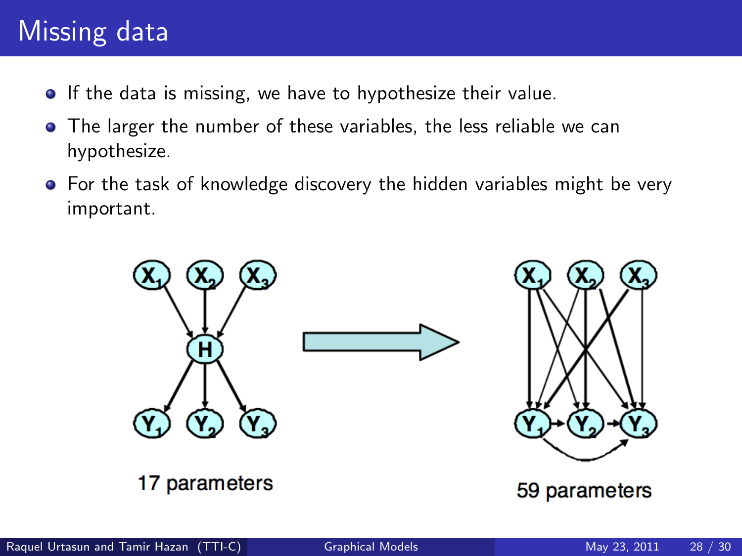# Missing data

- **•** If the data is missing, we have to hypothesize their value.
- The larger the number of these variables, the less reliable we can hypothesize.
- **•** For the task of knowledge discovery the hidden variables might be very important.

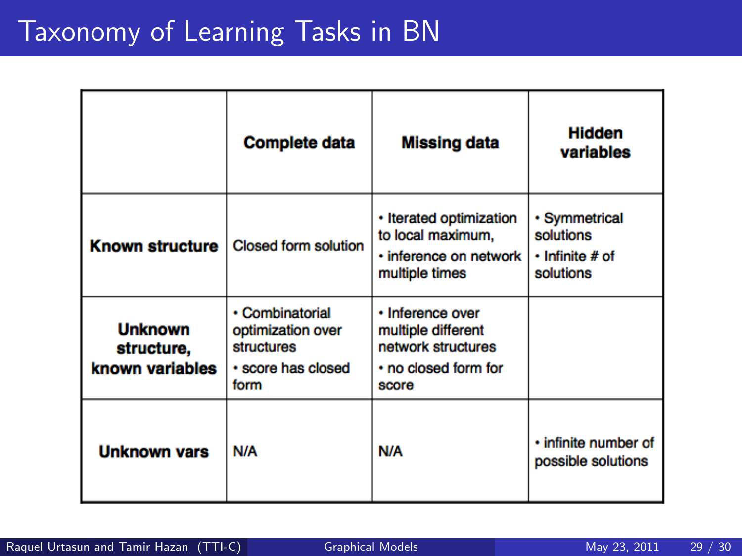# Taxonomy of Learning Tasks in BN

|                                                 | <b>Complete data</b>                                                             | <b>Missing data</b>                                                                           | <b>Hidden</b><br>variables                                       |
|-------------------------------------------------|----------------------------------------------------------------------------------|-----------------------------------------------------------------------------------------------|------------------------------------------------------------------|
| <b>Known structure</b>                          | <b>Closed form solution</b>                                                      | • Iterated optimization<br>to local maximum,<br>· inference on network<br>multiple times      | • Symmetrical<br>solutions<br>$\cdot$ Infinite # of<br>solutions |
| <b>Unknown</b><br>structure,<br>known variables | • Combinatorial<br>optimization over<br>structures<br>• score has closed<br>form | · Inference over<br>multiple different<br>network structures<br>• no closed form for<br>score |                                                                  |
| <b>Unknown vars</b>                             | N/A                                                                              | N/A                                                                                           | · infinite number of<br>possible solutions                       |